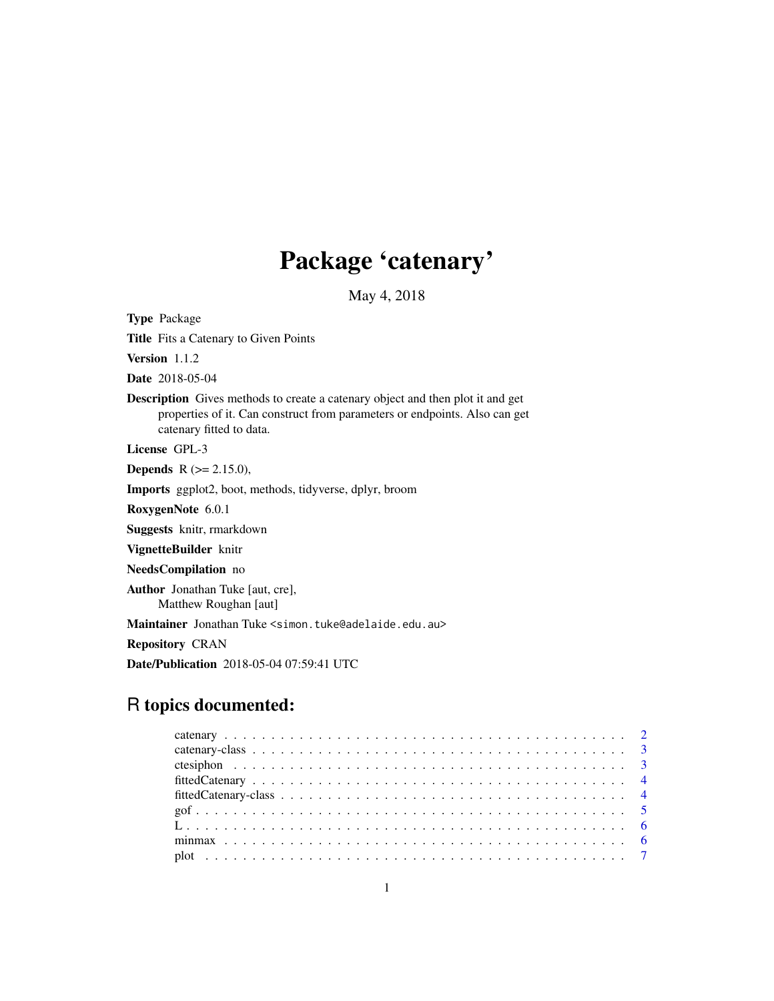## Package 'catenary'

May 4, 2018

Type Package Title Fits a Catenary to Given Points Version 1.1.2 Date 2018-05-04 Description Gives methods to create a catenary object and then plot it and get properties of it. Can construct from parameters or endpoints. Also can get catenary fitted to data. License GPL-3 **Depends** R  $(>= 2.15.0)$ , Imports ggplot2, boot, methods, tidyverse, dplyr, broom RoxygenNote 6.0.1 Suggests knitr, rmarkdown VignetteBuilder knitr NeedsCompilation no Author Jonathan Tuke [aut, cre], Matthew Roughan [aut] Maintainer Jonathan Tuke <simon.tuke@adelaide.edu.au> Repository CRAN

Date/Publication 2018-05-04 07:59:41 UTC

### R topics documented: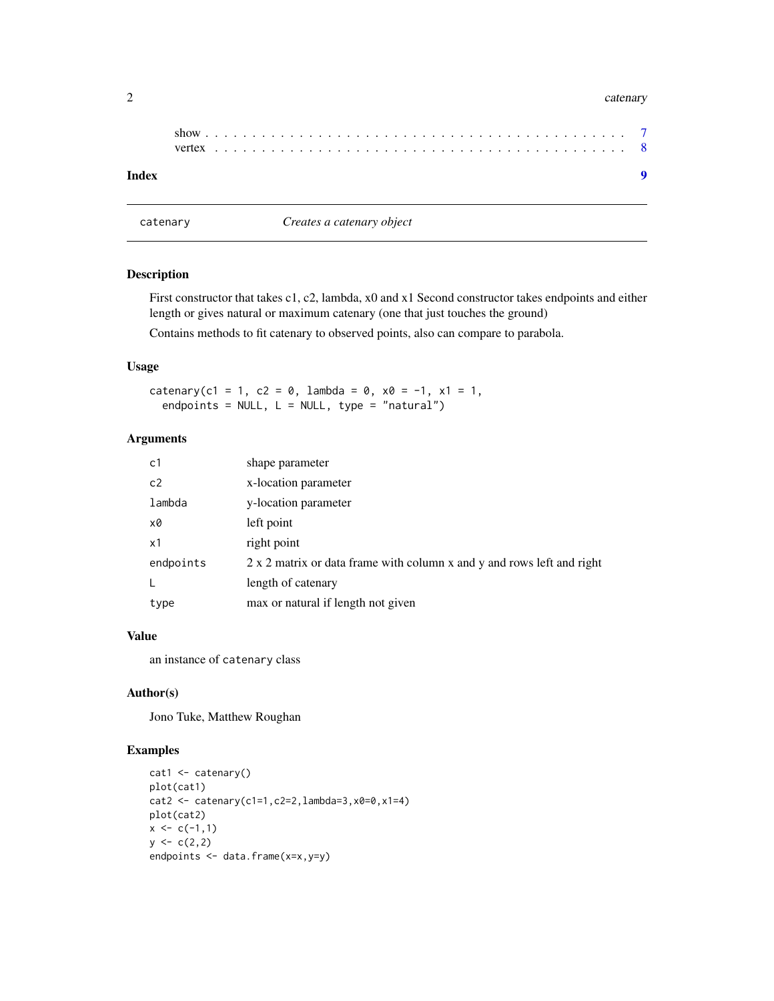#### <span id="page-1-0"></span>2 catenary care and the contract of the contract of the contract of the contract of the catenary catenary catenary

| Index |  |  |  |  |  |  |  |  |  |  |  |  |  |  |  |  |  |  |  |  |  |
|-------|--|--|--|--|--|--|--|--|--|--|--|--|--|--|--|--|--|--|--|--|--|

catenary *Creates a catenary object*

#### Description

First constructor that takes c1, c2, lambda, x0 and x1 Second constructor takes endpoints and either length or gives natural or maximum catenary (one that just touches the ground)

Contains methods to fit catenary to observed points, also can compare to parabola.

#### Usage

catenary(c1 = 1, c2 = 0, lambda = 0,  $x0 = -1$ ,  $x1 = 1$ , endpoints =  $NULL$ , L =  $NULL$ , type = "natural")

#### Arguments

| c1        | shape parameter                                                        |
|-----------|------------------------------------------------------------------------|
| c2        | x-location parameter                                                   |
| lambda    | y-location parameter                                                   |
| x0        | left point                                                             |
| x1        | right point                                                            |
| endpoints | 2 x 2 matrix or data frame with column x and y and rows left and right |
|           | length of catenary                                                     |
| type      | max or natural if length not given                                     |

#### Value

an instance of catenary class

#### Author(s)

Jono Tuke, Matthew Roughan

#### Examples

```
cat1 <- catenary()
plot(cat1)
cat2 <- catenary(c1=1,c2=2,lambda=3,x0=0,x1=4)
plot(cat2)
x \leftarrow c(-1,1)y \leftarrow c(2,2)endpoints <- data.frame(x=x,y=y)
```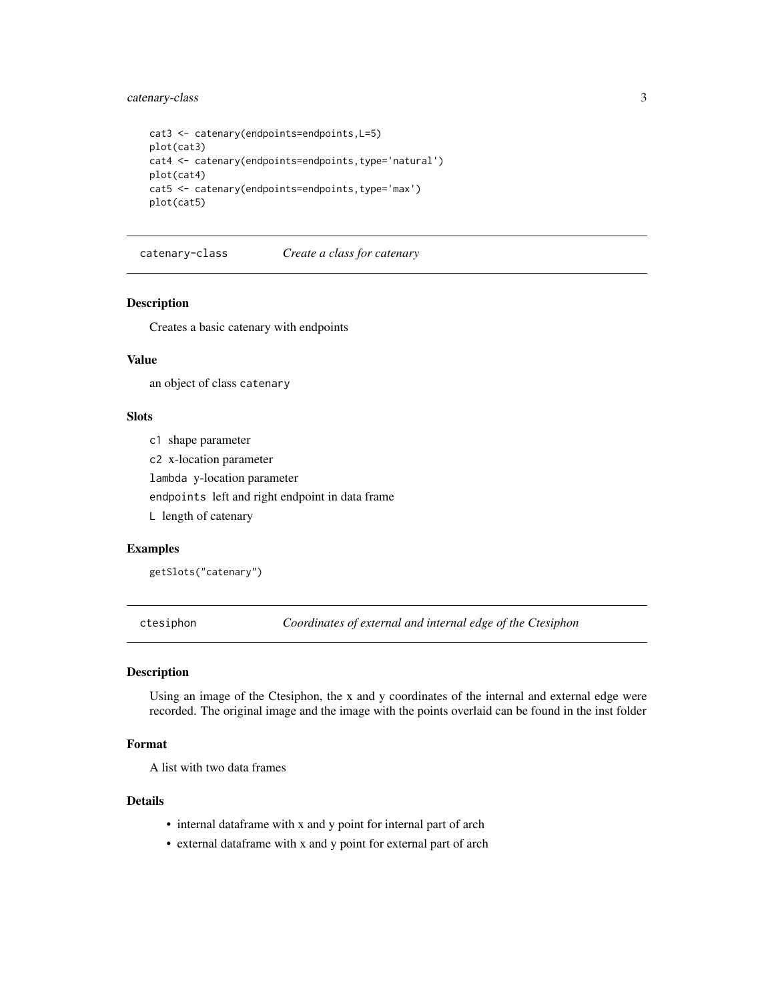#### <span id="page-2-0"></span>catenary-class 3

```
cat3 <- catenary(endpoints=endpoints,L=5)
plot(cat3)
cat4 <- catenary(endpoints=endpoints,type='natural')
plot(cat4)
cat5 <- catenary(endpoints=endpoints,type='max')
plot(cat5)
```
catenary-class *Create a class for catenary*

#### Description

Creates a basic catenary with endpoints

#### Value

an object of class catenary

#### Slots

c1 shape parameter

c2 x-location parameter

lambda y-location parameter

endpoints left and right endpoint in data frame

L length of catenary

#### Examples

getSlots("catenary")

ctesiphon *Coordinates of external and internal edge of the Ctesiphon*

#### Description

Using an image of the Ctesiphon, the x and y coordinates of the internal and external edge were recorded. The original image and the image with the points overlaid can be found in the inst folder

#### Format

A list with two data frames

#### Details

- internal dataframe with x and y point for internal part of arch
- external dataframe with x and y point for external part of arch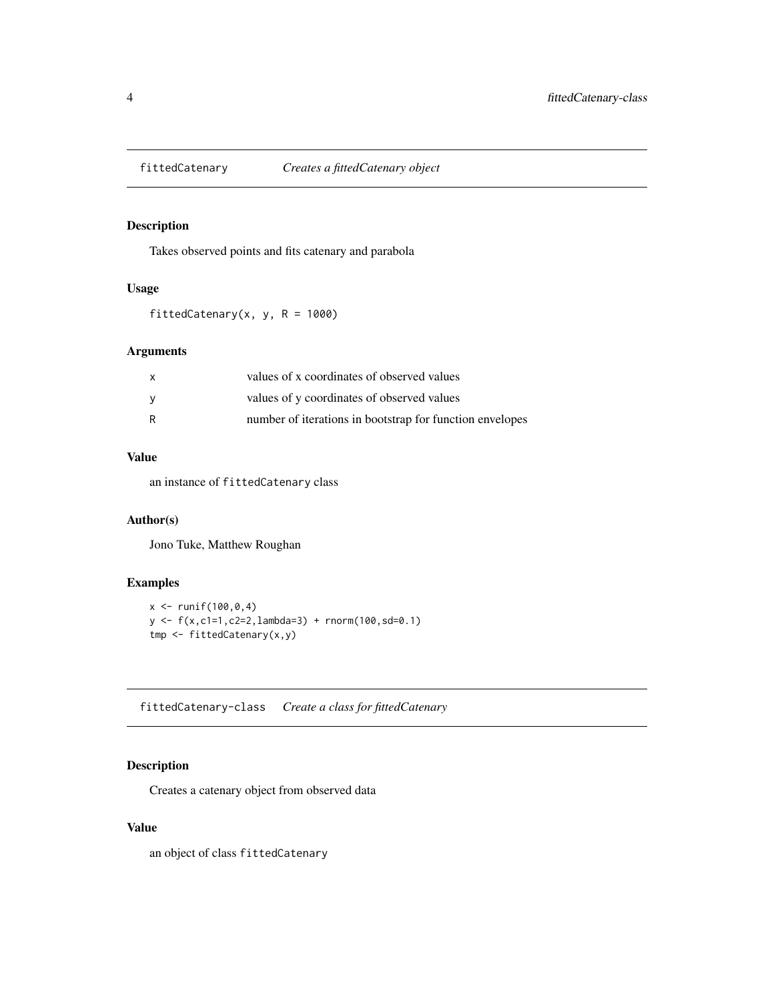<span id="page-3-0"></span>

#### Description

Takes observed points and fits catenary and parabola

#### Usage

fittedCatenary(x, y,  $R = 1000$ )

#### Arguments

| X   | values of x coordinates of observed values               |
|-----|----------------------------------------------------------|
| - V | values of y coordinates of observed values               |
| R   | number of iterations in bootstrap for function envelopes |

#### Value

an instance of fittedCatenary class

#### Author(s)

Jono Tuke, Matthew Roughan

#### Examples

```
x < - runif(100,0,4)
y <- f(x,c1=1,c2=2,lambda=3) + rnorm(100,sd=0.1)
tmp <- fittedCatenary(x,y)
```
fittedCatenary-class *Create a class for fittedCatenary*

#### Description

Creates a catenary object from observed data

#### Value

an object of class fittedCatenary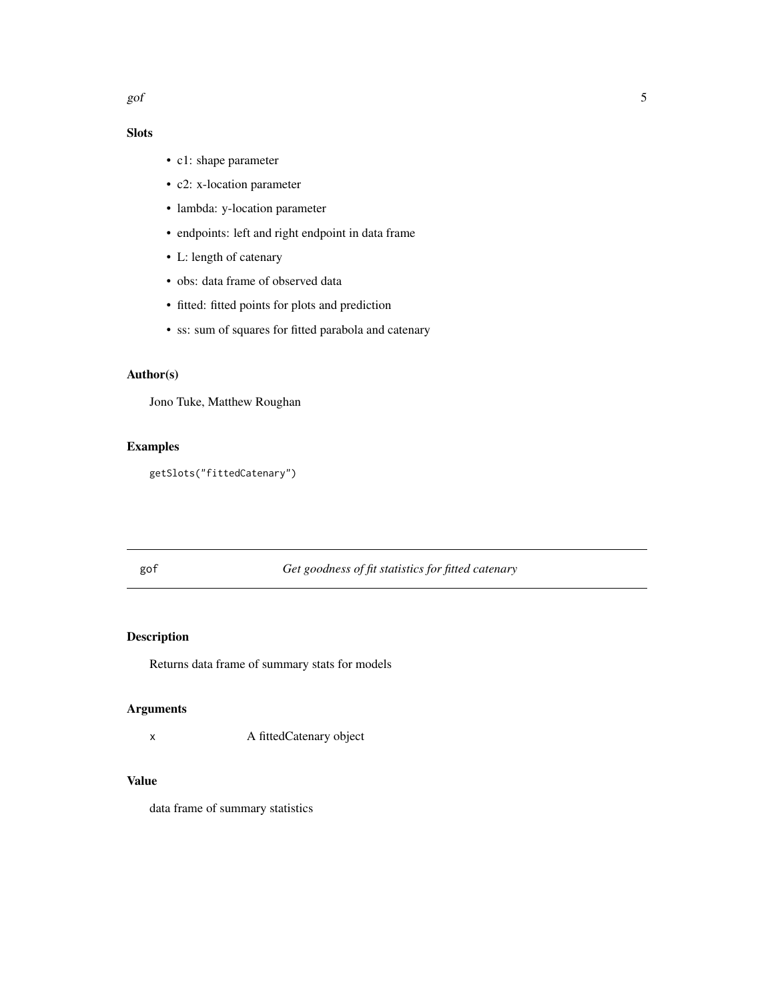#### Slots

- c1: shape parameter
- c2: x-location parameter
- lambda: y-location parameter
- endpoints: left and right endpoint in data frame
- L: length of catenary
- obs: data frame of observed data
- fitted: fitted points for plots and prediction
- ss: sum of squares for fitted parabola and catenary

#### Author(s)

Jono Tuke, Matthew Roughan

#### Examples

getSlots("fittedCatenary")

#### gof *Get goodness of fit statistics for fitted catenary*

#### Description

Returns data frame of summary stats for models

#### Arguments

x A fittedCatenary object

#### Value

data frame of summary statistics

<span id="page-4-0"></span> $g$ of  $\overline{5}$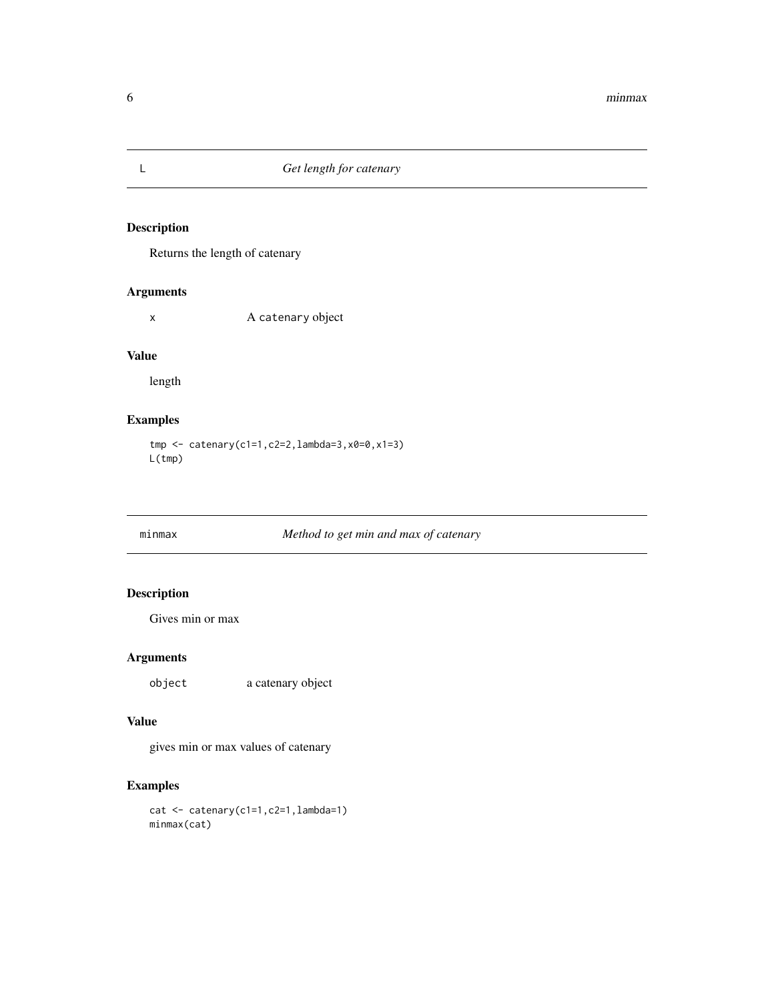#### Description

Returns the length of catenary

#### Arguments

x A catenary object

#### Value

length

#### Examples

tmp <- catenary(c1=1,c2=2,lambda=3,x0=0,x1=3) L(tmp)

#### minmax *Method to get min and max of catenary*

#### Description

Gives min or max

#### Arguments

object a catenary object

#### Value

gives min or max values of catenary

#### Examples

cat <- catenary(c1=1,c2=1,lambda=1) minmax(cat)

<span id="page-5-0"></span>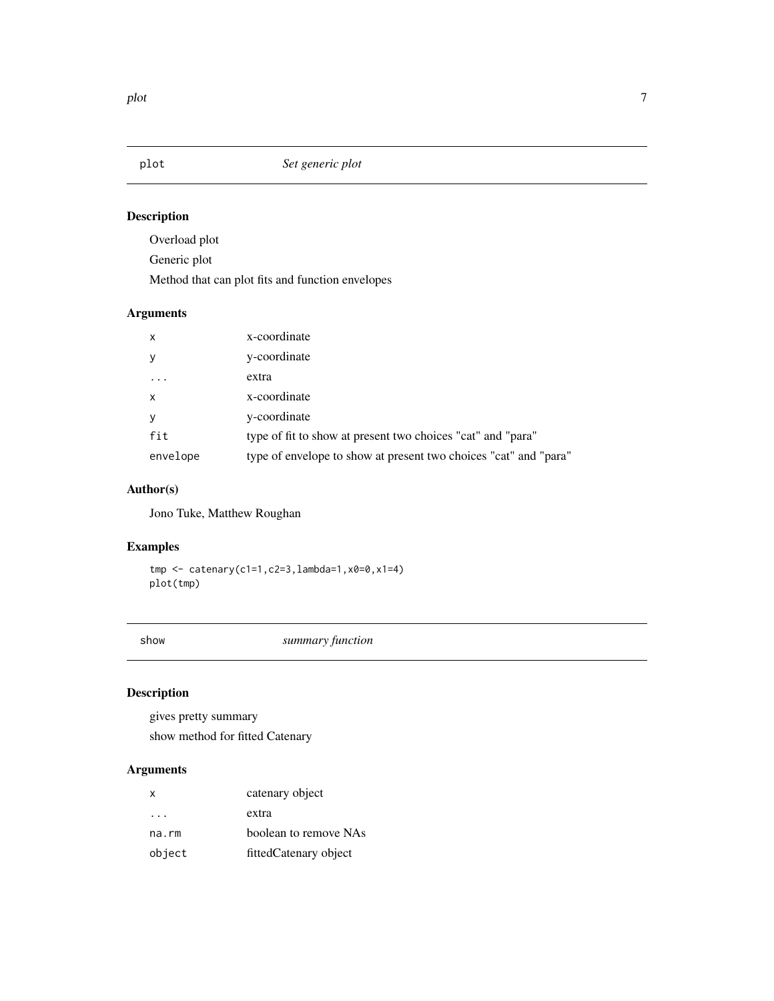<span id="page-6-0"></span>

#### Description

Overload plot

Generic plot

Method that can plot fits and function envelopes

#### Arguments

| $\mathsf{x}$ | x-coordinate                                                     |
|--------------|------------------------------------------------------------------|
| y            | y-coordinate                                                     |
|              | extra                                                            |
| $\mathsf{x}$ | x-coordinate                                                     |
| У            | y-coordinate                                                     |
| fit          | type of fit to show at present two choices "cat" and "para"      |
| envelope     | type of envelope to show at present two choices "cat" and "para" |

#### Author(s)

Jono Tuke, Matthew Roughan

#### Examples

tmp <- catenary(c1=1,c2=3,lambda=1,x0=0,x1=4) plot(tmp)

show *summary function*

#### Description

gives pretty summary show method for fitted Catenary

#### Arguments

| X                       | catenary object       |
|-------------------------|-----------------------|
| $\cdot$ $\cdot$ $\cdot$ | extra                 |
| na.rm                   | boolean to remove NAs |
| object                  | fittedCatenary object |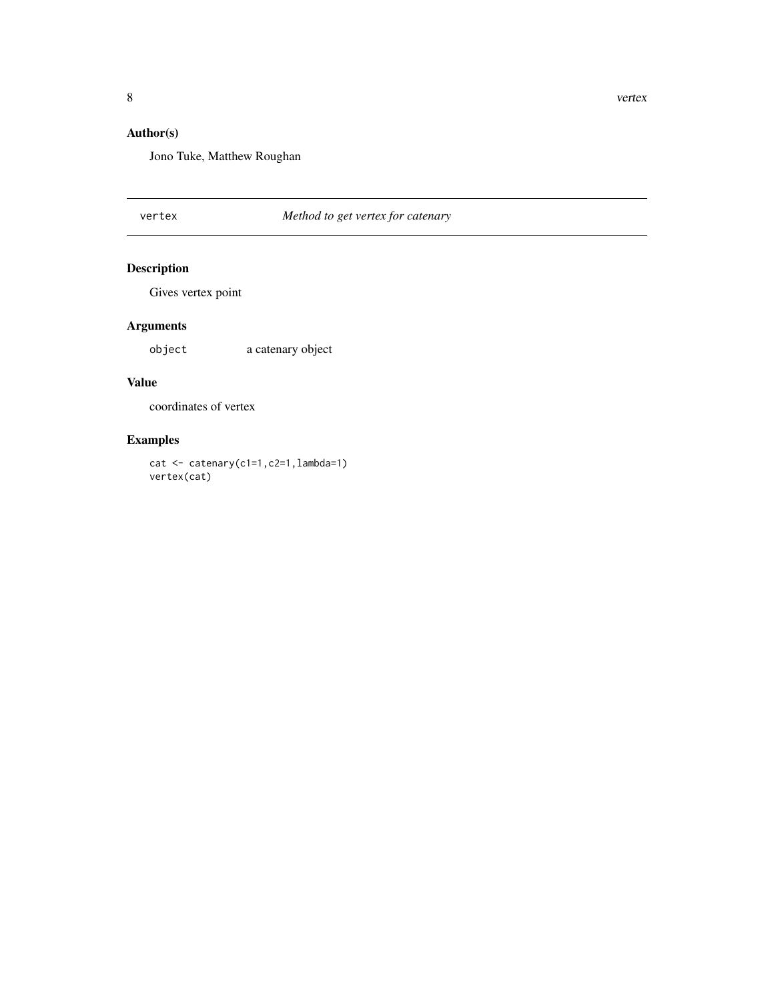#### <span id="page-7-0"></span>Author(s)

Jono Tuke, Matthew Roughan

#### vertex *Method to get vertex for catenary*

#### Description

Gives vertex point

#### Arguments

object a catenary object

#### Value

coordinates of vertex

#### Examples

cat <- catenary(c1=1,c2=1,lambda=1) vertex(cat)